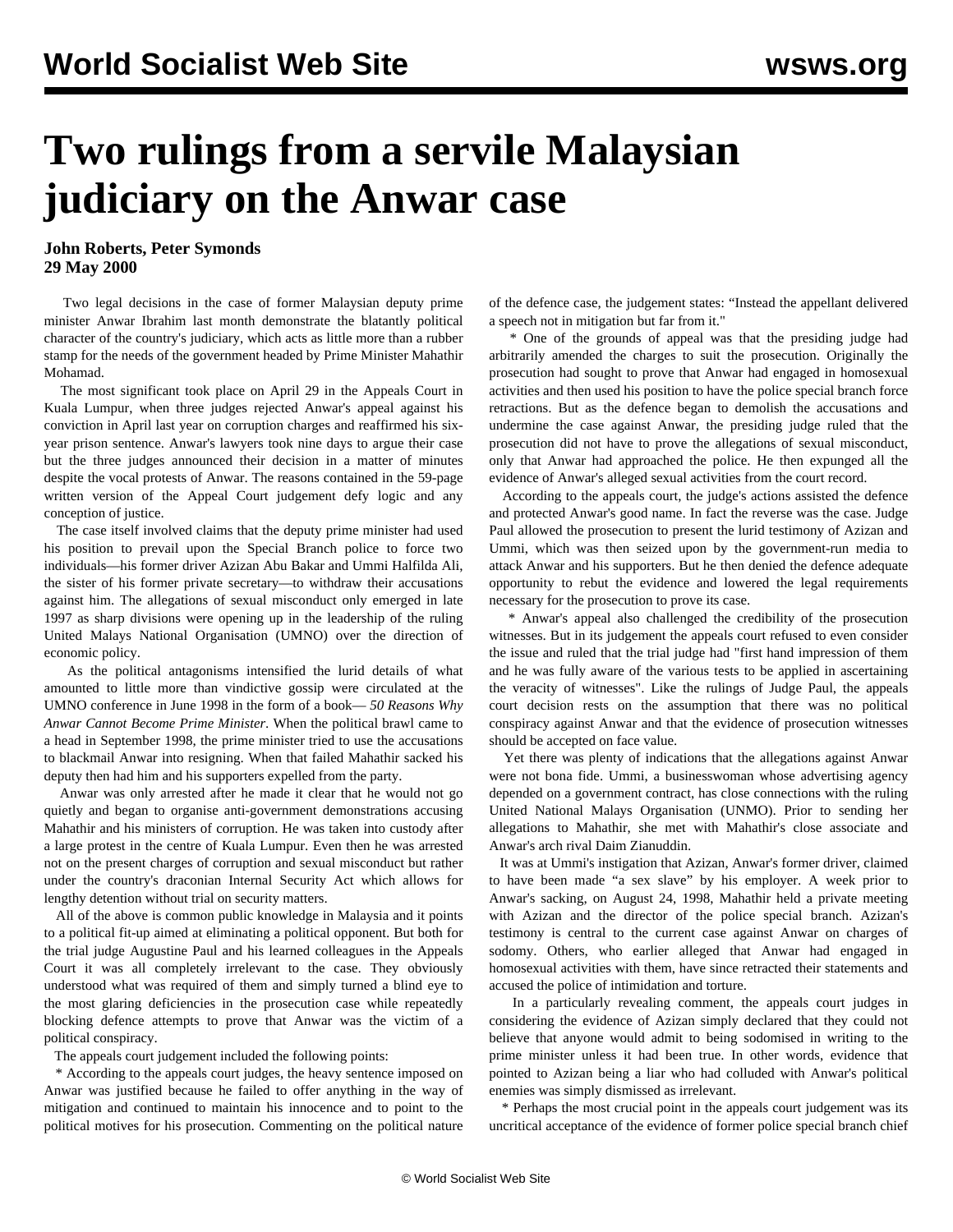## **Two rulings from a servile Malaysian judiciary on the Anwar case**

**John Roberts, Peter Symonds 29 May 2000**

 Two legal decisions in the case of former Malaysian deputy prime minister Anwar Ibrahim last month demonstrate the blatantly political character of the country's judiciary, which acts as little more than a rubber stamp for the needs of the government headed by Prime Minister Mahathir Mohamad.

 The most significant took place on April 29 in the Appeals Court in Kuala Lumpur, when three judges rejected Anwar's appeal against his conviction in April last year on corruption charges and reaffirmed his sixyear prison sentence. Anwar's lawyers took nine days to argue their case but the three judges announced their decision in a matter of minutes despite the vocal protests of Anwar. The reasons contained in the 59-page written version of the Appeal Court judgement defy logic and any conception of justice.

 The case itself involved claims that the deputy prime minister had used his position to prevail upon the Special Branch police to force two individuals—his former driver Azizan Abu Bakar and Ummi Halfilda Ali, the sister of his former private secretary—to withdraw their accusations against him. The allegations of sexual misconduct only emerged in late 1997 as sharp divisions were opening up in the leadership of the ruling United Malays National Organisation (UMNO) over the direction of economic policy.

 As the political antagonisms intensified the lurid details of what amounted to little more than vindictive gossip were circulated at the UMNO conference in June 1998 in the form of a book— *50 Reasons Why Anwar Cannot Become Prime Minister*. When the political brawl came to a head in September 1998, the prime minister tried to use the accusations to blackmail Anwar into resigning. When that failed Mahathir sacked his deputy then had him and his supporters expelled from the party.

 Anwar was only arrested after he made it clear that he would not go quietly and began to organise anti-government demonstrations accusing Mahathir and his ministers of corruption. He was taken into custody after a large protest in the centre of Kuala Lumpur. Even then he was arrested not on the present charges of corruption and sexual misconduct but rather under the country's draconian Internal Security Act which allows for lengthy detention without trial on security matters.

 All of the above is common public knowledge in Malaysia and it points to a political fit-up aimed at eliminating a political opponent. But both for the trial judge Augustine Paul and his learned colleagues in the Appeals Court it was all completely irrelevant to the case. They obviously understood what was required of them and simply turned a blind eye to the most glaring deficiencies in the prosecution case while repeatedly blocking defence attempts to prove that Anwar was the victim of a political conspiracy.

The appeals court judgement included the following points:

 \* According to the appeals court judges, the heavy sentence imposed on Anwar was justified because he failed to offer anything in the way of mitigation and continued to maintain his innocence and to point to the political motives for his prosecution. Commenting on the political nature of the defence case, the judgement states: "Instead the appellant delivered a speech not in mitigation but far from it."

 \* One of the grounds of appeal was that the presiding judge had arbitrarily amended the charges to suit the prosecution. Originally the prosecution had sought to prove that Anwar had engaged in homosexual activities and then used his position to have the police special branch force retractions. But as the defence began to demolish the accusations and undermine the case against Anwar, the presiding judge ruled that the prosecution did not have to prove the allegations of sexual misconduct, only that Anwar had approached the police. He then expunged all the evidence of Anwar's alleged sexual activities from the court record.

 According to the appeals court, the judge's actions assisted the defence and protected Anwar's good name. In fact the reverse was the case. Judge Paul allowed the prosecution to present the lurid testimony of Azizan and Ummi, which was then seized upon by the government-run media to attack Anwar and his supporters. But he then denied the defence adequate opportunity to rebut the evidence and lowered the legal requirements necessary for the prosecution to prove its case.

 \* Anwar's appeal also challenged the credibility of the prosecution witnesses. But in its judgement the appeals court refused to even consider the issue and ruled that the trial judge had "first hand impression of them and he was fully aware of the various tests to be applied in ascertaining the veracity of witnesses". Like the rulings of Judge Paul, the appeals court decision rests on the assumption that there was no political conspiracy against Anwar and that the evidence of prosecution witnesses should be accepted on face value.

 Yet there was plenty of indications that the allegations against Anwar were not bona fide. Ummi, a businesswoman whose advertising agency depended on a government contract, has close connections with the ruling United National Malays Organisation (UNMO). Prior to sending her allegations to Mahathir, she met with Mahathir's close associate and Anwar's arch rival Daim Zianuddin.

 It was at Ummi's instigation that Azizan, Anwar's former driver, claimed to have been made "a sex slave" by his employer. A week prior to Anwar's sacking, on August 24, 1998, Mahathir held a private meeting with Azizan and the director of the police special branch. Azizan's testimony is central to the current case against Anwar on charges of sodomy. Others, who earlier alleged that Anwar had engaged in homosexual activities with them, have since retracted their statements and accused the police of intimidation and torture.

 In a particularly revealing comment, the appeals court judges in considering the evidence of Azizan simply declared that they could not believe that anyone would admit to being sodomised in writing to the prime minister unless it had been true. In other words, evidence that pointed to Azizan being a liar who had colluded with Anwar's political enemies was simply dismissed as irrelevant.

 \* Perhaps the most crucial point in the appeals court judgement was its uncritical acceptance of the evidence of former police special branch chief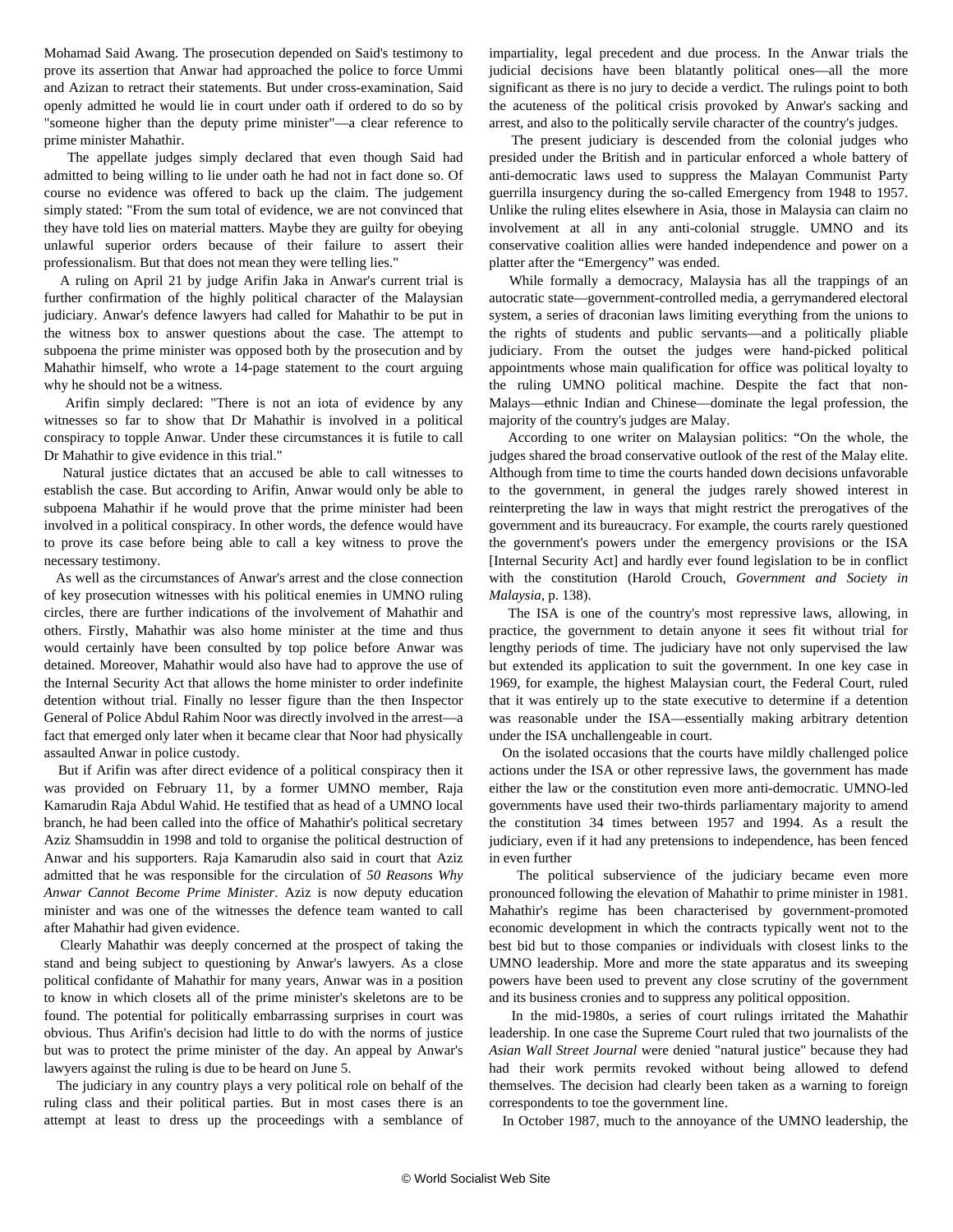Mohamad Said Awang. The prosecution depended on Said's testimony to prove its assertion that Anwar had approached the police to force Ummi and Azizan to retract their statements. But under cross-examination, Said openly admitted he would lie in court under oath if ordered to do so by "someone higher than the deputy prime minister"—a clear reference to prime minister Mahathir.

 The appellate judges simply declared that even though Said had admitted to being willing to lie under oath he had not in fact done so. Of course no evidence was offered to back up the claim. The judgement simply stated: "From the sum total of evidence, we are not convinced that they have told lies on material matters. Maybe they are guilty for obeying unlawful superior orders because of their failure to assert their professionalism. But that does not mean they were telling lies."

 A ruling on April 21 by judge Arifin Jaka in Anwar's current trial is further confirmation of the highly political character of the Malaysian judiciary. Anwar's defence lawyers had called for Mahathir to be put in the witness box to answer questions about the case. The attempt to subpoena the prime minister was opposed both by the prosecution and by Mahathir himself, who wrote a 14-page statement to the court arguing why he should not be a witness.

 Arifin simply declared: "There is not an iota of evidence by any witnesses so far to show that Dr Mahathir is involved in a political conspiracy to topple Anwar. Under these circumstances it is futile to call Dr Mahathir to give evidence in this trial."

 Natural justice dictates that an accused be able to call witnesses to establish the case. But according to Arifin, Anwar would only be able to subpoena Mahathir if he would prove that the prime minister had been involved in a political conspiracy. In other words, the defence would have to prove its case before being able to call a key witness to prove the necessary testimony.

 As well as the circumstances of Anwar's arrest and the close connection of key prosecution witnesses with his political enemies in UMNO ruling circles, there are further indications of the involvement of Mahathir and others. Firstly, Mahathir was also home minister at the time and thus would certainly have been consulted by top police before Anwar was detained. Moreover, Mahathir would also have had to approve the use of the Internal Security Act that allows the home minister to order indefinite detention without trial. Finally no lesser figure than the then Inspector General of Police Abdul Rahim Noor was directly involved in the arrest—a fact that emerged only later when it became clear that Noor had physically assaulted Anwar in police custody.

 But if Arifin was after direct evidence of a political conspiracy then it was provided on February 11, by a former UMNO member, Raja Kamarudin Raja Abdul Wahid. He testified that as head of a UMNO local branch, he had been called into the office of Mahathir's political secretary Aziz Shamsuddin in 1998 and told to organise the political destruction of Anwar and his supporters. Raja Kamarudin also said in court that Aziz admitted that he was responsible for the circulation of *50 Reasons Why Anwar Cannot Become Prime Minister*. Aziz is now deputy education minister and was one of the witnesses the defence team wanted to call after Mahathir had given evidence.

 Clearly Mahathir was deeply concerned at the prospect of taking the stand and being subject to questioning by Anwar's lawyers. As a close political confidante of Mahathir for many years, Anwar was in a position to know in which closets all of the prime minister's skeletons are to be found. The potential for politically embarrassing surprises in court was obvious. Thus Arifin's decision had little to do with the norms of justice but was to protect the prime minister of the day. An appeal by Anwar's lawyers against the ruling is due to be heard on June 5.

 The judiciary in any country plays a very political role on behalf of the ruling class and their political parties. But in most cases there is an attempt at least to dress up the proceedings with a semblance of impartiality, legal precedent and due process. In the Anwar trials the judicial decisions have been blatantly political ones—all the more significant as there is no jury to decide a verdict. The rulings point to both the acuteness of the political crisis provoked by Anwar's sacking and arrest, and also to the politically servile character of the country's judges.

 The present judiciary is descended from the colonial judges who presided under the British and in particular enforced a whole battery of anti-democratic laws used to suppress the Malayan Communist Party guerrilla insurgency during the so-called Emergency from 1948 to 1957. Unlike the ruling elites elsewhere in Asia, those in Malaysia can claim no involvement at all in any anti-colonial struggle. UMNO and its conservative coalition allies were handed independence and power on a platter after the "Emergency" was ended.

 While formally a democracy, Malaysia has all the trappings of an autocratic state—government-controlled media, a gerrymandered electoral system, a series of draconian laws limiting everything from the unions to the rights of students and public servants—and a politically pliable judiciary. From the outset the judges were hand-picked political appointments whose main qualification for office was political loyalty to the ruling UMNO political machine. Despite the fact that non-Malays—ethnic Indian and Chinese—dominate the legal profession, the majority of the country's judges are Malay.

 According to one writer on Malaysian politics: "On the whole, the judges shared the broad conservative outlook of the rest of the Malay elite. Although from time to time the courts handed down decisions unfavorable to the government, in general the judges rarely showed interest in reinterpreting the law in ways that might restrict the prerogatives of the government and its bureaucracy. For example, the courts rarely questioned the government's powers under the emergency provisions or the ISA [Internal Security Act] and hardly ever found legislation to be in conflict with the constitution (Harold Crouch, *Government and Society in Malaysia*, p. 138).

 The ISA is one of the country's most repressive laws, allowing, in practice, the government to detain anyone it sees fit without trial for lengthy periods of time. The judiciary have not only supervised the law but extended its application to suit the government. In one key case in 1969, for example, the highest Malaysian court, the Federal Court, ruled that it was entirely up to the state executive to determine if a detention was reasonable under the ISA—essentially making arbitrary detention under the ISA unchallengeable in court.

 On the isolated occasions that the courts have mildly challenged police actions under the ISA or other repressive laws, the government has made either the law or the constitution even more anti-democratic. UMNO-led governments have used their two-thirds parliamentary majority to amend the constitution 34 times between 1957 and 1994. As a result the judiciary, even if it had any pretensions to independence, has been fenced in even further

 The political subservience of the judiciary became even more pronounced following the elevation of Mahathir to prime minister in 1981. Mahathir's regime has been characterised by government-promoted economic development in which the contracts typically went not to the best bid but to those companies or individuals with closest links to the UMNO leadership. More and more the state apparatus and its sweeping powers have been used to prevent any close scrutiny of the government and its business cronies and to suppress any political opposition.

 In the mid-1980s, a series of court rulings irritated the Mahathir leadership. In one case the Supreme Court ruled that two journalists of the *Asian Wall Street Journal* were denied "natural justice" because they had had their work permits revoked without being allowed to defend themselves. The decision had clearly been taken as a warning to foreign correspondents to toe the government line.

In October 1987, much to the annoyance of the UMNO leadership, the